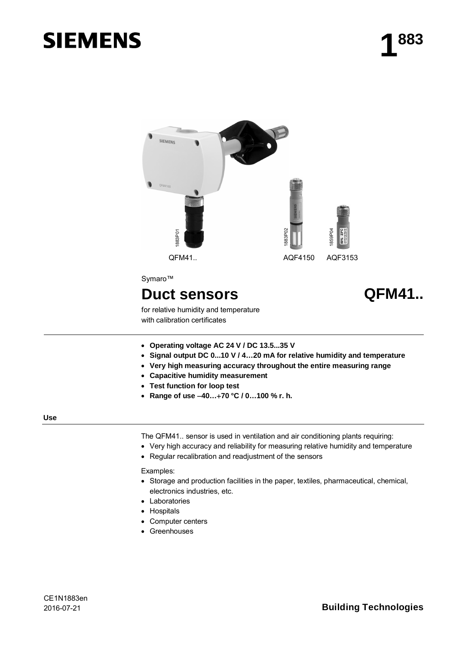# **SIEMENS**



- x **Operating voltage AC 24 V / DC 13.5...35 V**
- x **Signal output DC 0...10 V / 4…20 mA for relative humidity and temperature**
- x **Very high measuring accuracy throughout the entire measuring range**
- x **Capacitive humidity measurement**
- **Test function for loop test**
- x **Range of use 40…70 °C / 0…100 % r. h.**

#### **Use**

The QFM41.. sensor is used in ventilation and air conditioning plants requiring:

- Very high accuracy and reliability for measuring relative humidity and temperature
- Regular recalibration and readjustment of the sensors

Examples:

- Storage and production facilities in the paper, textiles, pharmaceutical, chemical, electronics industries, etc.
- Laboratories
- Hospitals
- Computer centers
- Greenhouses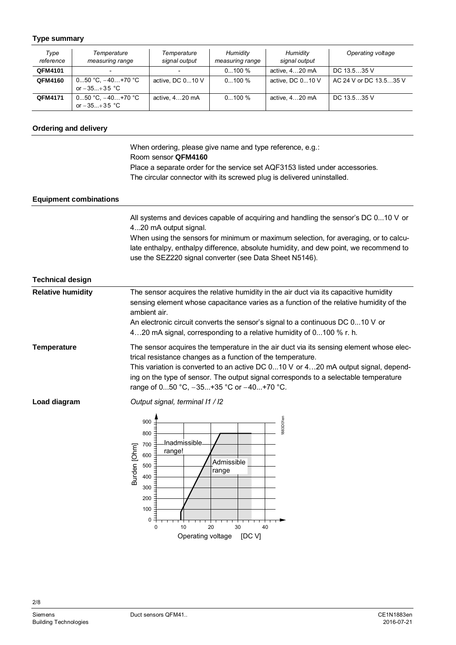## **Type summary**

| Type<br>reference | Temperature<br>measuring range          | Temperature<br>signal output | Humidity<br>measuring range | Humidity<br>signal output | Operating voltage      |
|-------------------|-----------------------------------------|------------------------------|-----------------------------|---------------------------|------------------------|
| QFM4101           |                                         |                              | $0100 \%$                   | active, 420 mA            | DC $13.535$ V          |
| QFM4160           | $050$ °C. $-40+70$ °C<br>or $-35+35$ °C | active, DC $010$ V           | $0100\%$                    | active, DC 010 V          | AC 24 V or DC 13.535 V |
| <b>QFM4171</b>    | $050 °C, -40+70 °C$<br>or $-35+35$ °C   | active, 420 mA               | $0100 \%$                   | active, 420 mA            | DC 13.5.35 V           |

## **Ordering and delivery**

When ordering, please give name and type reference, e.g.: Room sensor **QFM4160** Place a separate order for the service set AQF3153 listed under accessories. The circular connector with its screwed plug is delivered uninstalled.

## **Equipment combinations**

All systems and devices capable of acquiring and handling the sensor's DC 0...10 V or 4...20 mA output signal.

When using the sensors for minimum or maximum selection, for averaging, or to calculate enthalpy, enthalpy difference, absolute humidity, and dew point, we recommend to use the SEZ220 signal converter (see Data Sheet N5146).

#### **Technical design**

| <b>Relative humidity</b> | The sensor acquires the relative humidity in the air duct via its capacitive humidity<br>sensing element whose capacitance varies as a function of the relative humidity of the<br>ambient air.<br>An electronic circuit converts the sensor's signal to a continuous DC 010 V or                                                                                                        |
|--------------------------|------------------------------------------------------------------------------------------------------------------------------------------------------------------------------------------------------------------------------------------------------------------------------------------------------------------------------------------------------------------------------------------|
|                          | 420 mA signal, corresponding to a relative humidity of 0100 % r. h.                                                                                                                                                                                                                                                                                                                      |
| Temperature              | The sensor acquires the temperature in the air duct via its sensing element whose elec-<br>trical resistance changes as a function of the temperature.<br>This variation is converted to an active DC $010$ V or 420 mA output signal, depend-<br>ing on the type of sensor. The output signal corresponds to a selectable temperature<br>range of $050$ °C, $-35+35$ °C or $-40+70$ °C. |
| Load diagram             | Output signal, terminal I1 / I2                                                                                                                                                                                                                                                                                                                                                          |

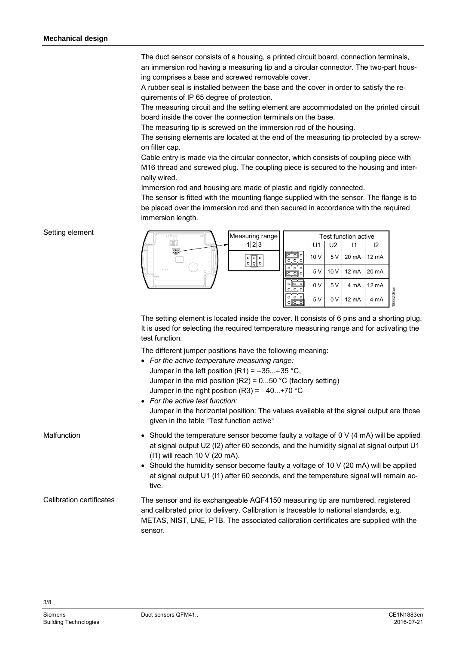The duct sensor consists of a housing, a printed circuit board, connection terminals, an immersion rod having a measuring tip and a circular connector. The two-part housing comprises a base and screwed removable cover.

A rubber seal is installed between the base and the cover in order to satisfy the requirements of IP 65 degree of protection.

The measuring circuit and the setting element are accommodated on the printed circuit board inside the cover the connection terminals on the base.

The measuring tip is screwed on the immersion rod of the housing.

The sensing elements are located at the end of the measuring tip protected by a screwon filter cap.

Cable entry is made via the circular connector, which consists of coupling piece with M16 thread and screwed plug. The coupling piece is secured to the housing and internally wired.

Immersion rod and housing are made of plastic and rigidly connected.

The sensor is fitted with the mounting flange supplied with the sensor. The flange is to be placed over the immersion rod and then secured in accordance with the required immersion length.

## Setting element



The setting element is located inside the cover. It consists of 6 pins and a shorting plug. It is used for selecting the required temperature measuring range and for activating the test function.

The different jumper positions have the following meaning:

- x *For the active temperature measuring range:* Jumper in the left position (R1) =  $-35...+35$  °C, Jumper in the mid position  $(R2) = 0...50$  °C (factory setting) Jumper in the right position  $(R3) = -40...+70$  °C x *For the active test function:*
- Jumper in the horizontal position: The values available at the signal output are those given in the table "Test function active"
- Should the temperature sensor become faulty a voltage of  $0 \vee (4 \text{ mA})$  will be applied at signal output U2 (I2) after 60 seconds, and the humidity signal at signal output U1 (I1) will reach 10 V (20 mA).
	- $\bullet$  Should the humidity sensor become faulty a voltage of 10 V (20 mA) will be applied at signal output U1 (I1) after 60 seconds, and the temperature signal will remain active.
- The sensor and its exchangeable AQF4150 measuring tip are numbered, registered and calibrated prior to delivery. Calibration is traceable to national standards, e.g. METAS, NIST, LNE, PTB. The associated calibration certificates are supplied with the sensor. Calibration certificates

**Malfunction**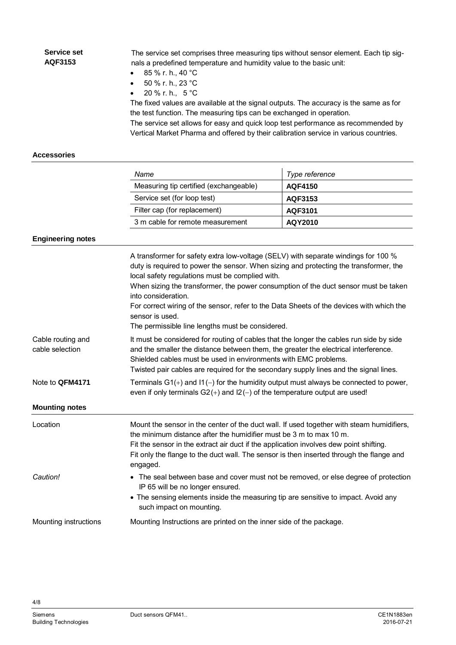| Service set<br>AQF3153                                  | The service set comprises three measuring tips without sensor element. Each tip sig-<br>nals a predefined temperature and humidity value to the basic unit:<br>85 % r. h., 40 °C<br>50 % r. h., 23 °C<br>$\bullet$<br>20 % r. h., 5 °C<br>$\bullet$<br>The fixed values are available at the signal outputs. The accuracy is the same as for<br>the test function. The measuring tips can be exchanged in operation.<br>The service set allows for easy and quick loop test performance as recommended by<br>Vertical Market Pharma and offered by their calibration service in various countries.                                                                                                                                                                                                                                                                                                                                                        |                |  |
|---------------------------------------------------------|-----------------------------------------------------------------------------------------------------------------------------------------------------------------------------------------------------------------------------------------------------------------------------------------------------------------------------------------------------------------------------------------------------------------------------------------------------------------------------------------------------------------------------------------------------------------------------------------------------------------------------------------------------------------------------------------------------------------------------------------------------------------------------------------------------------------------------------------------------------------------------------------------------------------------------------------------------------|----------------|--|
| <b>Accessories</b>                                      |                                                                                                                                                                                                                                                                                                                                                                                                                                                                                                                                                                                                                                                                                                                                                                                                                                                                                                                                                           |                |  |
|                                                         | Name                                                                                                                                                                                                                                                                                                                                                                                                                                                                                                                                                                                                                                                                                                                                                                                                                                                                                                                                                      | Type reference |  |
|                                                         | Measuring tip certified (exchangeable)                                                                                                                                                                                                                                                                                                                                                                                                                                                                                                                                                                                                                                                                                                                                                                                                                                                                                                                    | <b>AQF4150</b> |  |
|                                                         | Service set (for loop test)                                                                                                                                                                                                                                                                                                                                                                                                                                                                                                                                                                                                                                                                                                                                                                                                                                                                                                                               | AQF3153        |  |
|                                                         | Filter cap (for replacement)                                                                                                                                                                                                                                                                                                                                                                                                                                                                                                                                                                                                                                                                                                                                                                                                                                                                                                                              | AQF3101        |  |
|                                                         | 3 m cable for remote measurement                                                                                                                                                                                                                                                                                                                                                                                                                                                                                                                                                                                                                                                                                                                                                                                                                                                                                                                          | AQY2010        |  |
| <b>Engineering notes</b>                                |                                                                                                                                                                                                                                                                                                                                                                                                                                                                                                                                                                                                                                                                                                                                                                                                                                                                                                                                                           |                |  |
| Cable routing and<br>cable selection<br>Note to QFM4171 | A transformer for safety extra low-voltage (SELV) with separate windings for 100 %<br>duty is required to power the sensor. When sizing and protecting the transformer, the<br>local safety regulations must be complied with.<br>When sizing the transformer, the power consumption of the duct sensor must be taken<br>into consideration.<br>For correct wiring of the sensor, refer to the Data Sheets of the devices with which the<br>sensor is used.<br>The permissible line lengths must be considered.<br>It must be considered for routing of cables that the longer the cables run side by side<br>and the smaller the distance between them, the greater the electrical interference.<br>Shielded cables must be used in environments with EMC problems.<br>Twisted pair cables are required for the secondary supply lines and the signal lines.<br>Terminals $G1(+)$ and $11(-)$ for the humidity output must always be connected to power, |                |  |
| <b>Mounting notes</b>                                   | even if only terminals $G2(+)$ and $12(-)$ of the temperature output are used!                                                                                                                                                                                                                                                                                                                                                                                                                                                                                                                                                                                                                                                                                                                                                                                                                                                                            |                |  |
| Location                                                | Mount the sensor in the center of the duct wall. If used together with steam humidifiers,<br>the minimum distance after the humidifier must be 3 m to max 10 m.<br>Fit the sensor in the extract air duct if the application involves dew point shifting.<br>Fit only the flange to the duct wall. The sensor is then inserted through the flange and<br>engaged.                                                                                                                                                                                                                                                                                                                                                                                                                                                                                                                                                                                         |                |  |
| Caution!                                                | • The seal between base and cover must not be removed, or else degree of protection<br>IP 65 will be no longer ensured.<br>• The sensing elements inside the measuring tip are sensitive to impact. Avoid any<br>such impact on mounting.                                                                                                                                                                                                                                                                                                                                                                                                                                                                                                                                                                                                                                                                                                                 |                |  |
| Mounting instructions                                   | Mounting Instructions are printed on the inner side of the package.                                                                                                                                                                                                                                                                                                                                                                                                                                                                                                                                                                                                                                                                                                                                                                                                                                                                                       |                |  |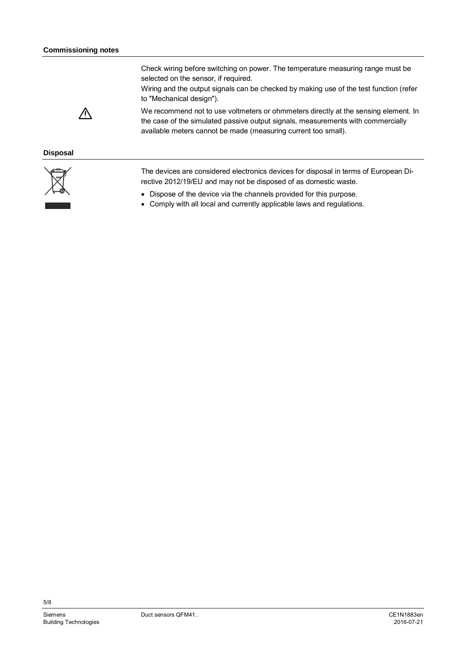Check wiring before switching on power. The temperature measuring range must be selected on the sensor, if required.

Wiring and the output signals can be checked by making use of the test function (refer to "Mechanical design").



We recommend not to use voltmeters or ohmmeters directly at the sensing element. In the case of the simulated passive output signals, measurements with commercially available meters cannot be made (measuring current too small).

## **Disposal**



The devices are considered electronics devices for disposal in terms of European Directive 2012/19/EU and may not be disposed of as domestic waste.

- Dispose of the device via the channels provided for this purpose.
- Comply with all local and currently applicable laws and regulations.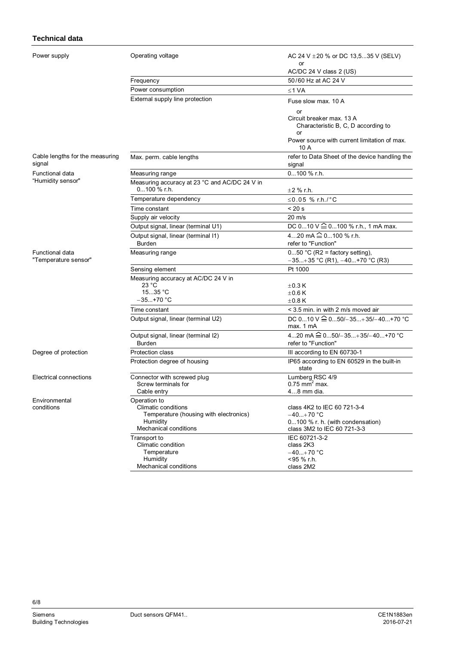## **Technical data**

Pow

| Power supply                              | Operating voltage                                                                                  | AC 24 V $\pm$ 20 % or DC 13.535 V (SELV)<br>or                                                                |
|-------------------------------------------|----------------------------------------------------------------------------------------------------|---------------------------------------------------------------------------------------------------------------|
|                                           |                                                                                                    | AC/DC 24 V class 2 (US)                                                                                       |
|                                           | Frequency                                                                                          | 50/60 Hz at AC 24 V                                                                                           |
|                                           | Power consumption                                                                                  | ≤1 VA                                                                                                         |
|                                           | External supply line protection                                                                    | Fuse slow max. 10 A                                                                                           |
|                                           |                                                                                                    | or<br>Circuit breaker max. 13 A<br>Characteristic B, C, D according to<br>or                                  |
|                                           |                                                                                                    | Power source with current limitation of max.<br>10 A                                                          |
| Cable lengths for the measuring<br>signal | Max. perm. cable lengths                                                                           | refer to Data Sheet of the device handling the<br>signal                                                      |
| Functional data                           | Measuring range                                                                                    | $0100 \%$ r.h.                                                                                                |
| "Humidity sensor"                         | Measuring accuracy at 23 °C and AC/DC 24 V in<br>$0100 \%$ r.h.                                    | $\pm 2$ % r.h.                                                                                                |
|                                           | Temperature dependency                                                                             | ≤0.05 % r.h./°C                                                                                               |
|                                           | Time constant                                                                                      | $< 20$ s                                                                                                      |
|                                           | Supply air velocity                                                                                | $20 \text{ m/s}$                                                                                              |
|                                           | Output signal, linear (terminal U1)                                                                | DC 010 V $\hat{=}$ 0100 % r.h., 1 mA max.                                                                     |
|                                           | Output signal, linear (terminal I1)                                                                | 420 mA $\widehat{=}$ 0100 % r.h.                                                                              |
|                                           | <b>Burden</b>                                                                                      | refer to "Function"                                                                                           |
| Functional data<br>"Temperature sensor"   | Measuring range                                                                                    | $050$ °C (R2 = factory setting),<br>$-35+35$ °C (R1), $-40+70$ °C (R3)                                        |
|                                           | Sensing element                                                                                    | Pt 1000                                                                                                       |
|                                           | Measuring accuracy at AC/DC 24 V in                                                                |                                                                                                               |
|                                           | 23 °C                                                                                              | $\pm$ 0.3 K                                                                                                   |
|                                           | 1535 °C                                                                                            | $\pm 0.6$ K                                                                                                   |
|                                           | –35…+70 °C                                                                                         | $\pm 0.8$ K                                                                                                   |
|                                           | Time constant                                                                                      | < 3.5 min. in with 2 m/s moved air                                                                            |
|                                           | Output signal, linear (terminal U2)                                                                | DC $010$ V $\widehat{=}$ 050/-35+35/-40+70 °C<br>max. 1 mA                                                    |
|                                           | Output signal, linear (terminal I2)<br><b>Burden</b>                                               | 420 mA $\widehat{=}$ 050/-35+35/-40+70 °C<br>refer to "Function"                                              |
| Degree of protection                      | Protection class                                                                                   | III according to EN 60730-1                                                                                   |
|                                           | Protection degree of housing                                                                       | IP65 according to EN 60529 in the built-in<br>state                                                           |
| <b>Electrical connections</b>             | Connector with screwed plug<br>Screw terminals for<br>Cable entry                                  | Lumberg RSC 4/9<br>$0.75$ mm <sup>2</sup> max.<br>48 mm dia.                                                  |
| Environmental                             | Operation to                                                                                       |                                                                                                               |
| conditions                                | Climatic conditions<br>Temperature (housing with electronics)<br>Humidity<br>Mechanical conditions | class 4K2 to IEC 60 721-3-4<br>$-40+70 °C$<br>0100 % r. h. (with condensation)<br>class 3M2 to IEC 60 721-3-3 |
|                                           | Transport to                                                                                       | IEC 60721-3-2                                                                                                 |
|                                           | Climatic condition<br>Temperature                                                                  | class 2K3<br>$-40+70$ °C                                                                                      |
|                                           | Humidity<br>Mechanical conditions                                                                  | <95 % r.h.<br>class 2M2                                                                                       |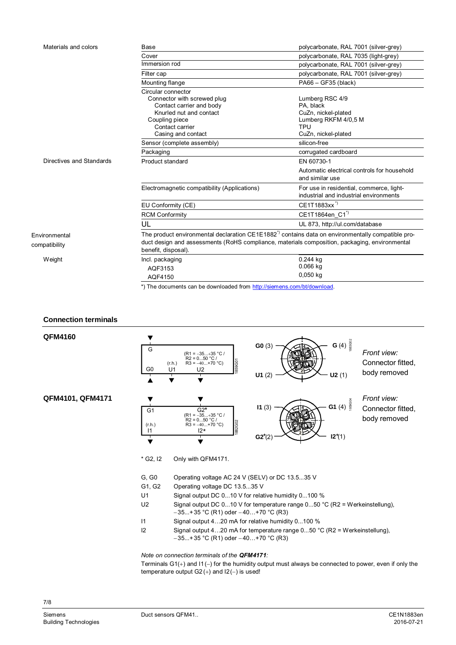| Materials and colors           | Base                                                                                                                                                                                                                                | polycarbonate, RAL 7001 (silver-grey)                                                                     |  |
|--------------------------------|-------------------------------------------------------------------------------------------------------------------------------------------------------------------------------------------------------------------------------------|-----------------------------------------------------------------------------------------------------------|--|
|                                | Cover                                                                                                                                                                                                                               | polycarbonate, RAL 7035 (light-grey)                                                                      |  |
|                                | Immersion rod                                                                                                                                                                                                                       | polycarbonate, RAL 7001 (silver-grey)                                                                     |  |
|                                | Filter cap                                                                                                                                                                                                                          | polycarbonate, RAL 7001 (silver-grey)                                                                     |  |
|                                | Mounting flange                                                                                                                                                                                                                     | $PA66 - GF35$ (black)                                                                                     |  |
|                                | Circular connector<br>Connector with screwed plug<br>Contact carrier and body<br>Knurled nut and contact<br>Coupling piece<br>Contact carrier<br>Casing and contact                                                                 | Lumberg RSC 4/9<br>PA. black<br>CuZn, nickel-plated<br>Lumberg RKFM 4/0,5 M<br>TPU<br>CuZn, nickel-plated |  |
|                                | Sensor (complete assembly)                                                                                                                                                                                                          | silicon-free                                                                                              |  |
|                                | Packaging                                                                                                                                                                                                                           | corrugated cardboard                                                                                      |  |
| Directives and Standards       | Product standard                                                                                                                                                                                                                    | EN 60730-1                                                                                                |  |
|                                |                                                                                                                                                                                                                                     | Automatic electrical controls for household<br>and similar use                                            |  |
|                                | Electromagnetic compatibility (Applications)                                                                                                                                                                                        | For use in residential, commerce, light-<br>industrial and industrial environments                        |  |
|                                | EU Conformity (CE)                                                                                                                                                                                                                  | CE1T1883xx <sup>"</sup>                                                                                   |  |
|                                | <b>RCM Conformity</b>                                                                                                                                                                                                               | CE1T1864en_C1 <sup>"</sup>                                                                                |  |
|                                | UL                                                                                                                                                                                                                                  | UL 873, http://ul.com/database                                                                            |  |
| Environmental<br>compatibility | The product environmental declaration $CE1E1882^{\degree}$ contains data on environmentally compatible pro-<br>duct design and assessments (RoHS compliance, materials composition, packaging, environmental<br>benefit, disposal). |                                                                                                           |  |
| Weight                         | Incl. packaging<br>AQF3153<br>AOF4150                                                                                                                                                                                               | 0.244 kg<br>$0.066$ kg<br>0,050 kg                                                                        |  |

\*) The documents can be downloaded from [http://siemens.com/bt/download.](http://siemens.com/bt/download)

## **Connection terminals**



Terminals  $G1(+)$  and  $11(-)$  for the humidity output must always be connected to power, even if only the temperature output  $G2 (+)$  and  $12(-)$  is used!